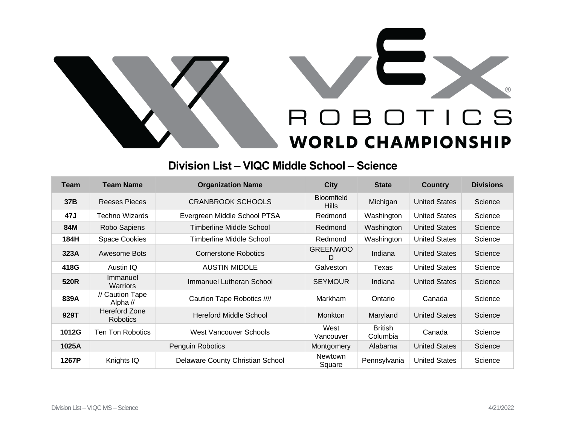



## **Division List – VIQC Middle School – Science**

| Team  | <b>Team Name</b>                      | <b>Organization Name</b>         | <b>City</b>                       | <b>State</b>               | <b>Country</b>       | <b>Divisions</b> |
|-------|---------------------------------------|----------------------------------|-----------------------------------|----------------------------|----------------------|------------------|
| 37B   | Reeses Pieces                         | <b>CRANBROOK SCHOOLS</b>         | <b>Bloomfield</b><br><b>Hills</b> | Michigan                   | <b>United States</b> | Science          |
| 47J   | <b>Techno Wizards</b>                 | Evergreen Middle School PTSA     | Redmond                           | Washington                 | <b>United States</b> | Science          |
| 84M   | Robo Sapiens                          | Timberline Middle School         | Redmond                           | Washington                 | <b>United States</b> | Science          |
| 184H  | <b>Space Cookies</b>                  | Timberline Middle School         | Redmond                           | Washington                 | <b>United States</b> | Science          |
| 323A  | Awesome Bots                          | <b>Cornerstone Robotics</b>      | <b>GREENWOO</b><br>D              | Indiana                    | <b>United States</b> | Science          |
| 418G  | Austin IQ                             | <b>AUSTIN MIDDLE</b>             | Galveston                         | Texas                      | <b>United States</b> | Science          |
| 520R  | Immanuel<br><b>Warriors</b>           | Immanuel Lutheran School         | <b>SEYMOUR</b>                    | Indiana                    | <b>United States</b> | Science          |
| 839A  | // Caution Tape<br>Alpha $\mathcal U$ | Caution Tape Robotics ////       | <b>Markham</b>                    | Ontario                    | Canada               | Science          |
| 929T  | <b>Hereford Zone</b><br>Robotics      | <b>Hereford Middle School</b>    | <b>Monkton</b>                    | Maryland                   | <b>United States</b> | Science          |
| 1012G | <b>Ten Ton Robotics</b>               | West Vancouver Schools           | West<br>Vancouver                 | <b>British</b><br>Columbia | Canada               | Science          |
| 1025A | <b>Penguin Robotics</b>               |                                  | Montgomery                        | Alabama                    | <b>United States</b> | Science          |
| 1267P | Knights IQ                            | Delaware County Christian School | <b>Newtown</b><br>Square          | Pennsylvania               | <b>United States</b> | Science          |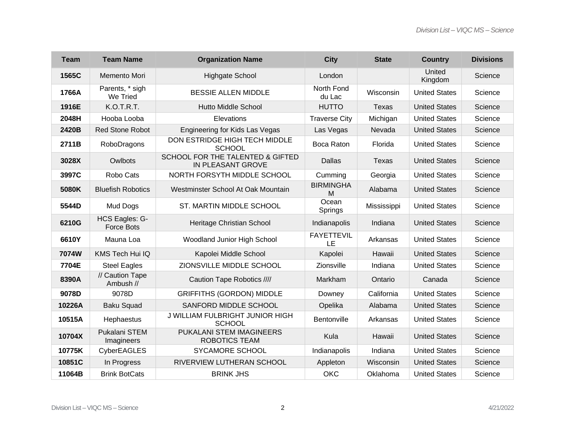| <b>Team</b> | <b>Team Name</b>                    | <b>Organization Name</b>                              | <b>City</b>             | <b>State</b> | <b>Country</b>       | <b>Divisions</b> |
|-------------|-------------------------------------|-------------------------------------------------------|-------------------------|--------------|----------------------|------------------|
| 1565C       | Memento Mori                        | Highgate School                                       | London                  |              | United<br>Kingdom    | Science          |
| 1766A       | Parents, * sigh<br>We Tried         | <b>BESSIE ALLEN MIDDLE</b>                            | North Fond<br>du Lac    | Wisconsin    | <b>United States</b> | Science          |
| 1916E       | K.O.T.R.T.                          | <b>Hutto Middle School</b>                            | <b>HUTTO</b>            | <b>Texas</b> | <b>United States</b> | Science          |
| 2048H       | Hooba Looba                         | Elevations                                            | <b>Traverse City</b>    | Michigan     | <b>United States</b> | Science          |
| 2420B       | <b>Red Stone Robot</b>              | Engineering for Kids Las Vegas                        | Las Vegas               | Nevada       | <b>United States</b> | Science          |
| 2711B       | RoboDragons                         | DON ESTRIDGE HIGH TECH MIDDLE<br><b>SCHOOL</b>        | Boca Raton              | Florida      | <b>United States</b> | Science          |
| 3028X       | Owlbots                             | SCHOOL FOR THE TALENTED & GIFTED<br>IN PLEASANT GROVE | <b>Dallas</b>           | Texas        | <b>United States</b> | Science          |
| 3997C       | Robo Cats                           | NORTH FORSYTH MIDDLE SCHOOL                           | Cumming                 | Georgia      | <b>United States</b> | Science          |
| 5080K       | <b>Bluefish Robotics</b>            | Westminster School At Oak Mountain                    | <b>BIRMINGHA</b><br>M   | Alabama      | <b>United States</b> | Science          |
| 5544D       | Mud Dogs                            | ST. MARTIN MIDDLE SCHOOL                              | Ocean<br>Springs        | Mississippi  | <b>United States</b> | Science          |
| 6210G       | HCS Eagles: G-<br><b>Force Bots</b> | Heritage Christian School                             | Indianapolis            | Indiana      | <b>United States</b> | Science          |
| 6610Y       | Mauna Loa                           | Woodland Junior High School                           | <b>FAYETTEVIL</b><br>LE | Arkansas     | <b>United States</b> | Science          |
| 7074W       | KMS Tech Hui IQ                     | Kapolei Middle School                                 | Kapolei                 | Hawaii       | <b>United States</b> | Science          |
| 7704E       | <b>Steel Eagles</b>                 | ZIONSVILLE MIDDLE SCHOOL                              | Zionsville              | Indiana      | <b>United States</b> | Science          |
| 8390A       | // Caution Tape<br>Ambush //        | Caution Tape Robotics ////                            | Markham                 | Ontario      | Canada               | Science          |
| 9078D       | 9078D                               | <b>GRIFFITHS (GORDON) MIDDLE</b>                      | Downey                  | California   | <b>United States</b> | Science          |
| 10226A      | <b>Baku Squad</b>                   | SANFORD MIDDLE SCHOOL                                 | Opelika                 | Alabama      | <b>United States</b> | Science          |
| 10515A      | Hephaestus                          | J WILLIAM FULBRIGHT JUNIOR HIGH<br><b>SCHOOL</b>      | Bentonville             | Arkansas     | <b>United States</b> | Science          |
| 10704X      | Pukalani STEM<br>Imagineers         | PUKALANI STEM IMAGINEERS<br><b>ROBOTICS TEAM</b>      | Kula                    | Hawaii       | <b>United States</b> | Science          |
| 10775K      | CyberEAGLES                         | SYCAMORE SCHOOL                                       | Indianapolis            | Indiana      | <b>United States</b> | Science          |
| 10851C      | In Progress                         | RIVERVIEW LUTHERAN SCHOOL                             | Appleton                | Wisconsin    | <b>United States</b> | Science          |
| 11064B      | <b>Brink BotCats</b>                | <b>BRINK JHS</b>                                      | <b>OKC</b>              | Oklahoma     | <b>United States</b> | Science          |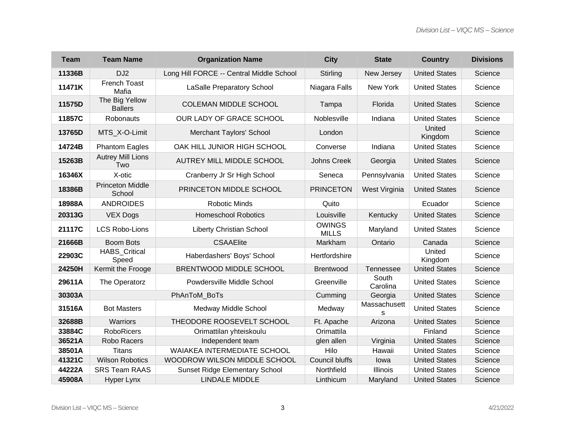| <b>Team</b> | <b>Team Name</b>                  | <b>Organization Name</b>                 | <b>City</b>                   | <b>State</b>      | <b>Country</b>       | <b>Divisions</b> |
|-------------|-----------------------------------|------------------------------------------|-------------------------------|-------------------|----------------------|------------------|
| 11336B      | DJ <sub>2</sub>                   | Long Hill FORCE -- Central Middle School | Stirling                      | New Jersey        | <b>United States</b> | Science          |
| 11471K      | French Toast<br>Mafia             | <b>LaSalle Preparatory School</b>        | Niagara Falls                 | New York          | <b>United States</b> | Science          |
| 11575D      | The Big Yellow<br><b>Ballers</b>  | <b>COLEMAN MIDDLE SCHOOL</b>             | Tampa                         | Florida           | <b>United States</b> | Science          |
| 11857C      | Robonauts                         | OUR LADY OF GRACE SCHOOL                 | Noblesville                   | Indiana           | <b>United States</b> | Science          |
| 13765D      | MTS X-O-Limit                     | Merchant Taylors' School                 | London                        |                   | United<br>Kingdom    | Science          |
| 14724B      | <b>Phantom Eagles</b>             | OAK HILL JUNIOR HIGH SCHOOL              | Converse                      | Indiana           | <b>United States</b> | Science          |
| 15263B      | <b>Autrey Mill Lions</b><br>Two   | <b>AUTREY MILL MIDDLE SCHOOL</b>         | <b>Johns Creek</b>            | Georgia           | <b>United States</b> | Science          |
| 16346X      | X-otic                            | Cranberry Jr Sr High School              | Seneca                        | Pennsylvania      | <b>United States</b> | Science          |
| 18386B      | <b>Princeton Middle</b><br>School | PRINCETON MIDDLE SCHOOL                  | <b>PRINCETON</b>              | West Virginia     | <b>United States</b> | Science          |
| 18988A      | <b>ANDROIDES</b>                  | <b>Robotic Minds</b>                     | Quito                         |                   | Ecuador              | Science          |
| 20313G      | <b>VEX Dogs</b>                   | <b>Homeschool Robotics</b>               | Louisville                    | Kentucky          | <b>United States</b> | Science          |
| 21117C      | <b>LCS Robo-Lions</b>             | <b>Liberty Christian School</b>          | <b>OWINGS</b><br><b>MILLS</b> | Maryland          | <b>United States</b> | Science          |
| 21666B      | <b>Boom Bots</b>                  | <b>CSAAElite</b>                         | Markham                       | Ontario           | Canada               | Science          |
| 22903C      | <b>HABS_Critical</b><br>Speed     | Haberdashers' Boys' School               | Hertfordshire                 |                   | United<br>Kingdom    | Science          |
| 24250H      | Kermit the Frooge                 | BRENTWOOD MIDDLE SCHOOL                  | <b>Brentwood</b>              | Tennessee         | <b>United States</b> | Science          |
| 29611A      | The Operatorz                     | Powdersville Middle School               | Greenville                    | South<br>Carolina | <b>United States</b> | Science          |
| 30303A      |                                   | PhAnToM BoTs                             | Cumming                       | Georgia           | <b>United States</b> | Science          |
| 31516A      | <b>Bot Masters</b>                | Medway Middle School                     | Medway                        | Massachusett<br>S | <b>United States</b> | Science          |
| 32688B      | Warriors                          | THEODORE ROOSEVELT SCHOOL                | Ft. Apache                    | Arizona           | <b>United States</b> | Science          |
| 33884C      | <b>RoboRicers</b>                 | Orimattilan yhteiskoulu                  | Orimattila                    |                   | Finland              | Science          |
| 36521A      | Robo Racers                       | Independent team                         | glen allen                    | Virginia          | <b>United States</b> | Science          |
| 38501A      | <b>Titans</b>                     | WAIAKEA INTERMEDIATE SCHOOL              | Hilo                          | Hawaii            | <b>United States</b> | Science          |
| 41321C      | <b>Wilson Robotics</b>            | WOODROW WILSON MIDDLE SCHOOL             | <b>Council bluffs</b>         | lowa              | <b>United States</b> | Science          |
| 44222A      | <b>SRS Team RAAS</b>              | <b>Sunset Ridge Elementary School</b>    | Northfield                    | <b>Illinois</b>   | <b>United States</b> | Science          |
| 45908A      | Hyper Lynx                        | <b>LINDALE MIDDLE</b>                    | Linthicum                     | Maryland          | <b>United States</b> | Science          |